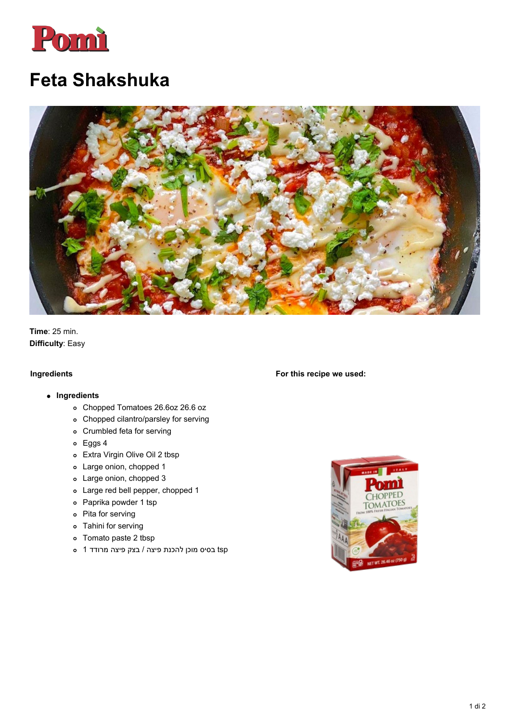

## **Feta Shakshuka**



**Time**: 25 min. **Difficulty**: Easy

## **Ingredients**

## **Ingredients**

- Chopped Tomatoes 26.6oz 26.6 oz
- Chopped cilantro/parsley for serving
- Crumbled feta for serving
- Eggs 4
- Extra Virgin Olive Oil 2 tbsp
- Large onion, chopped 1
- Large onion, chopped 3
- Large red bell pepper, chopped 1
- Paprika powder 1 tsp
- Pita for serving
- Tahini for serving
- Tomato paste 2 tbsp
- tsp בסיס מוכן להכנת פיצה / בצק פיצה מרודד 1

CHOPPED **TOMATOES** wit 26

**For this recipe we used:**